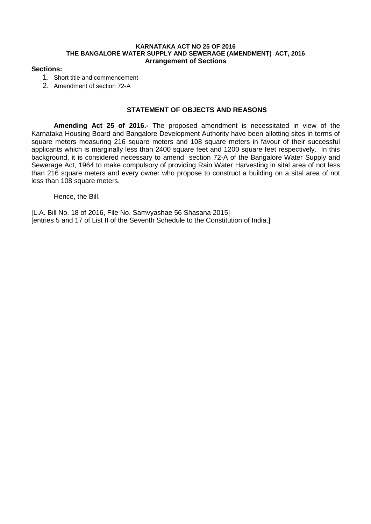### **KARNATAKA ACT NO 25 OF 2016 THE BANGALORE WATER SUPPLY AND SEWERAGE (AMENDMENT) ACT, 2016 Arrangement of Sections**

## **Sections:**

- 1. Short title and commencement
- 2. Amendment of section 72-A

# **STATEMENT OF OBJECTS AND REASONS**

**Amending Act 25 of 2016.-** The proposed amendment is necessitated in view of the Karnataka Housing Board and Bangalore Development Authority have been allotting sites in terms of square meters measuring 216 square meters and 108 square meters in favour of their successful applicants which is marginally less than 2400 square feet and 1200 square feet respectively. In this background, it is considered necessary to amend section 72-A of the Bangalore Water Supply and Sewerage Act, 1964 to make compulsory of providing Rain Water Harvesting in sital area of not less than 216 square meters and every owner who propose to construct a building on a sital area of not less than 108 square meters.

Hence, the Bill.

[L.A. Bill No. 18 of 2016, File No. Samvyashae 56 Shasana 2015] [entries 5 and 17 of List II of the Seventh Schedule to the Constitution of India.]